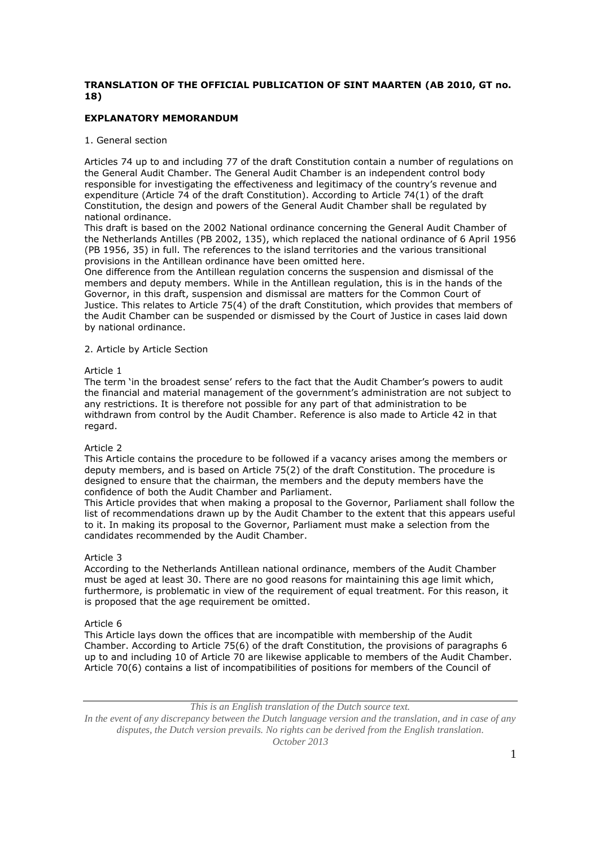# **TRANSLATION OF THE OFFICIAL PUBLICATION OF SINT MAARTEN (AB 2010, GT no. 18)**

# **EXPLANATORY MEMORANDUM**

# 1. General section

Articles 74 up to and including 77 of the draft Constitution contain a number of regulations on the General Audit Chamber. The General Audit Chamber is an independent control body responsible for investigating the effectiveness and legitimacy of the country's revenue and expenditure (Article 74 of the draft Constitution). According to Article 74(1) of the draft Constitution, the design and powers of the General Audit Chamber shall be regulated by national ordinance.

This draft is based on the 2002 National ordinance concerning the General Audit Chamber of the Netherlands Antilles (PB 2002, 135), which replaced the national ordinance of 6 April 1956 (PB 1956, 35) in full. The references to the island territories and the various transitional provisions in the Antillean ordinance have been omitted here.

One difference from the Antillean regulation concerns the suspension and dismissal of the members and deputy members. While in the Antillean regulation, this is in the hands of the Governor, in this draft, suspension and dismissal are matters for the Common Court of Justice. This relates to Article 75(4) of the draft Constitution, which provides that members of the Audit Chamber can be suspended or dismissed by the Court of Justice in cases laid down by national ordinance.

## 2. Article by Article Section

# Article 1

The term 'in the broadest sense' refers to the fact that the Audit Chamber's powers to audit the financial and material management of the government's administration are not subject to any restrictions. It is therefore not possible for any part of that administration to be withdrawn from control by the Audit Chamber. Reference is also made to Article 42 in that regard.

## Article 2

This Article contains the procedure to be followed if a vacancy arises among the members or deputy members, and is based on Article 75(2) of the draft Constitution. The procedure is designed to ensure that the chairman, the members and the deputy members have the confidence of both the Audit Chamber and Parliament.

This Article provides that when making a proposal to the Governor, Parliament shall follow the list of recommendations drawn up by the Audit Chamber to the extent that this appears useful to it. In making its proposal to the Governor, Parliament must make a selection from the candidates recommended by the Audit Chamber.

# Article 3

According to the Netherlands Antillean national ordinance, members of the Audit Chamber must be aged at least 30. There are no good reasons for maintaining this age limit which, furthermore, is problematic in view of the requirement of equal treatment. For this reason, it is proposed that the age requirement be omitted.

## Article 6

This Article lays down the offices that are incompatible with membership of the Audit Chamber. According to Article 75(6) of the draft Constitution, the provisions of paragraphs 6 up to and including 10 of Article 70 are likewise applicable to members of the Audit Chamber. Article 70(6) contains a list of incompatibilities of positions for members of the Council of

*This is an English translation of the Dutch source text.*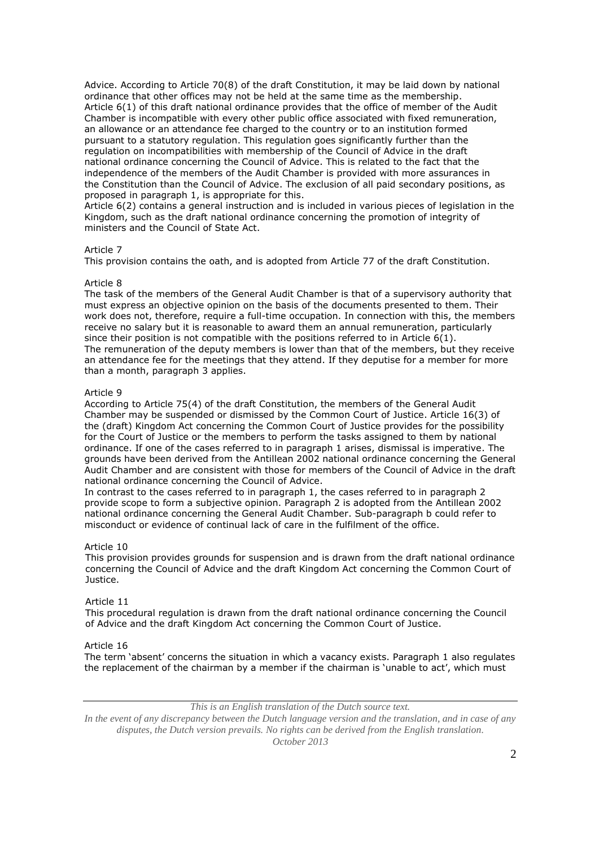Advice. According to Article 70(8) of the draft Constitution, it may be laid down by national ordinance that other offices may not be held at the same time as the membership. Article 6(1) of this draft national ordinance provides that the office of member of the Audit Chamber is incompatible with every other public office associated with fixed remuneration, an allowance or an attendance fee charged to the country or to an institution formed pursuant to a statutory regulation. This regulation goes significantly further than the regulation on incompatibilities with membership of the Council of Advice in the draft national ordinance concerning the Council of Advice. This is related to the fact that the independence of the members of the Audit Chamber is provided with more assurances in the Constitution than the Council of Advice. The exclusion of all paid secondary positions, as proposed in paragraph 1, is appropriate for this.

Article 6(2) contains a general instruction and is included in various pieces of legislation in the Kingdom, such as the draft national ordinance concerning the promotion of integrity of ministers and the Council of State Act.

## Article 7

This provision contains the oath, and is adopted from Article 77 of the draft Constitution.

## Article 8

The task of the members of the General Audit Chamber is that of a supervisory authority that must express an objective opinion on the basis of the documents presented to them. Their work does not, therefore, require a full-time occupation. In connection with this, the members receive no salary but it is reasonable to award them an annual remuneration, particularly since their position is not compatible with the positions referred to in Article  $6(1)$ . The remuneration of the deputy members is lower than that of the members, but they receive an attendance fee for the meetings that they attend. If they deputise for a member for more than a month, paragraph 3 applies.

## Article 9

According to Article 75(4) of the draft Constitution, the members of the General Audit Chamber may be suspended or dismissed by the Common Court of Justice. Article 16(3) of the (draft) Kingdom Act concerning the Common Court of Justice provides for the possibility for the Court of Justice or the members to perform the tasks assigned to them by national ordinance. If one of the cases referred to in paragraph 1 arises, dismissal is imperative. The grounds have been derived from the Antillean 2002 national ordinance concerning the General Audit Chamber and are consistent with those for members of the Council of Advice in the draft national ordinance concerning the Council of Advice.

In contrast to the cases referred to in paragraph 1, the cases referred to in paragraph 2 provide scope to form a subjective opinion. Paragraph 2 is adopted from the Antillean 2002 national ordinance concerning the General Audit Chamber. Sub-paragraph b could refer to misconduct or evidence of continual lack of care in the fulfilment of the office.

## Article 10

This provision provides grounds for suspension and is drawn from the draft national ordinance concerning the Council of Advice and the draft Kingdom Act concerning the Common Court of Justice.

## Article 11

This procedural regulation is drawn from the draft national ordinance concerning the Council of Advice and the draft Kingdom Act concerning the Common Court of Justice.

#### Article 16

The term 'absent' concerns the situation in which a vacancy exists. Paragraph 1 also regulates the replacement of the chairman by a member if the chairman is 'unable to act', which must

*This is an English translation of the Dutch source text.*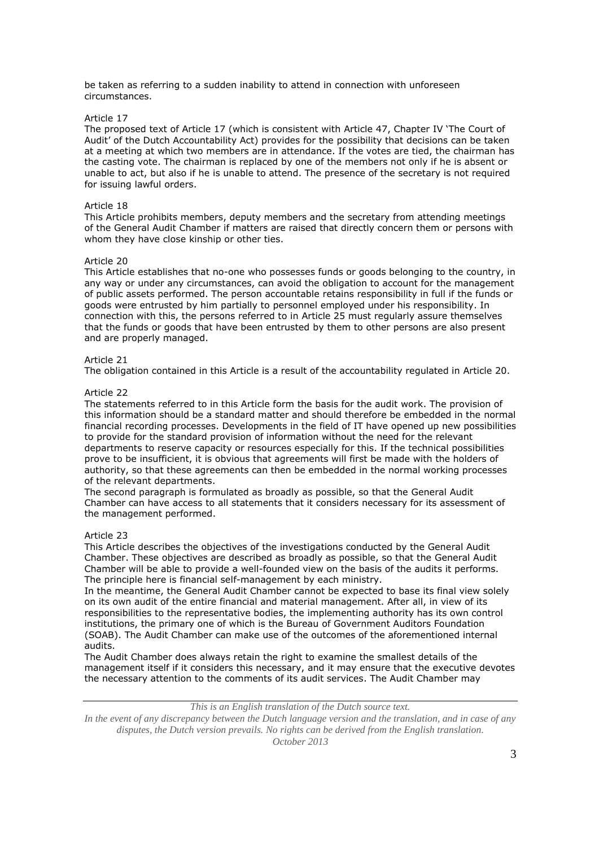be taken as referring to a sudden inability to attend in connection with unforeseen circumstances.

## Article 17

The proposed text of Article 17 (which is consistent with Article 47, Chapter IV 'The Court of Audit' of the Dutch Accountability Act) provides for the possibility that decisions can be taken at a meeting at which two members are in attendance. If the votes are tied, the chairman has the casting vote. The chairman is replaced by one of the members not only if he is absent or unable to act, but also if he is unable to attend. The presence of the secretary is not required for issuing lawful orders.

## Article 18

This Article prohibits members, deputy members and the secretary from attending meetings of the General Audit Chamber if matters are raised that directly concern them or persons with whom they have close kinship or other ties.

## Article 20

This Article establishes that no-one who possesses funds or goods belonging to the country, in any way or under any circumstances, can avoid the obligation to account for the management of public assets performed. The person accountable retains responsibility in full if the funds or goods were entrusted by him partially to personnel employed under his responsibility. In connection with this, the persons referred to in Article 25 must regularly assure themselves that the funds or goods that have been entrusted by them to other persons are also present and are properly managed.

## Article 21

The obligation contained in this Article is a result of the accountability regulated in Article 20.

#### Article 22

The statements referred to in this Article form the basis for the audit work. The provision of this information should be a standard matter and should therefore be embedded in the normal financial recording processes. Developments in the field of IT have opened up new possibilities to provide for the standard provision of information without the need for the relevant departments to reserve capacity or resources especially for this. If the technical possibilities prove to be insufficient, it is obvious that agreements will first be made with the holders of authority, so that these agreements can then be embedded in the normal working processes of the relevant departments.

The second paragraph is formulated as broadly as possible, so that the General Audit Chamber can have access to all statements that it considers necessary for its assessment of the management performed.

## Article 23

This Article describes the objectives of the investigations conducted by the General Audit Chamber. These objectives are described as broadly as possible, so that the General Audit Chamber will be able to provide a well-founded view on the basis of the audits it performs. The principle here is financial self-management by each ministry.

In the meantime, the General Audit Chamber cannot be expected to base its final view solely on its own audit of the entire financial and material management. After all, in view of its responsibilities to the representative bodies, the implementing authority has its own control institutions, the primary one of which is the Bureau of Government Auditors Foundation (SOAB). The Audit Chamber can make use of the outcomes of the aforementioned internal audits.

The Audit Chamber does always retain the right to examine the smallest details of the management itself if it considers this necessary, and it may ensure that the executive devotes the necessary attention to the comments of its audit services. The Audit Chamber may

*This is an English translation of the Dutch source text.*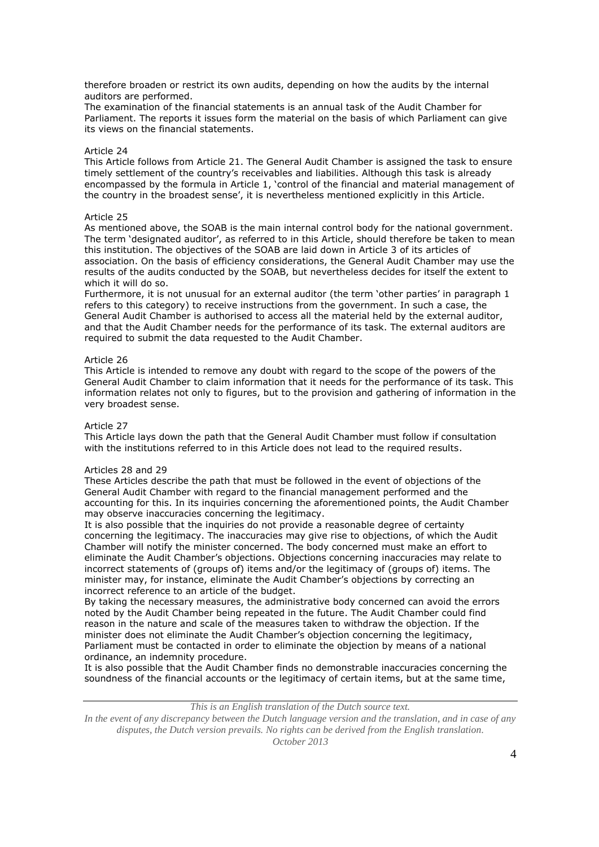therefore broaden or restrict its own audits, depending on how the audits by the internal auditors are performed.

The examination of the financial statements is an annual task of the Audit Chamber for Parliament. The reports it issues form the material on the basis of which Parliament can give its views on the financial statements.

# Article 24

This Article follows from Article 21. The General Audit Chamber is assigned the task to ensure timely settlement of the country's receivables and liabilities. Although this task is already encompassed by the formula in Article 1, 'control of the financial and material management of the country in the broadest sense', it is nevertheless mentioned explicitly in this Article.

## Article 25

As mentioned above, the SOAB is the main internal control body for the national government. The term 'designated auditor', as referred to in this Article, should therefore be taken to mean this institution. The objectives of the SOAB are laid down in Article 3 of its articles of association. On the basis of efficiency considerations, the General Audit Chamber may use the results of the audits conducted by the SOAB, but nevertheless decides for itself the extent to which it will do so.

Furthermore, it is not unusual for an external auditor (the term 'other parties' in paragraph 1 refers to this category) to receive instructions from the government. In such a case, the General Audit Chamber is authorised to access all the material held by the external auditor, and that the Audit Chamber needs for the performance of its task. The external auditors are required to submit the data requested to the Audit Chamber.

#### Article 26

This Article is intended to remove any doubt with regard to the scope of the powers of the General Audit Chamber to claim information that it needs for the performance of its task. This information relates not only to figures, but to the provision and gathering of information in the very broadest sense.

#### Article 27

This Article lays down the path that the General Audit Chamber must follow if consultation with the institutions referred to in this Article does not lead to the required results.

#### Articles 28 and 29

These Articles describe the path that must be followed in the event of objections of the General Audit Chamber with regard to the financial management performed and the accounting for this. In its inquiries concerning the aforementioned points, the Audit Chamber may observe inaccuracies concerning the legitimacy.

It is also possible that the inquiries do not provide a reasonable degree of certainty concerning the legitimacy. The inaccuracies may give rise to objections, of which the Audit Chamber will notify the minister concerned. The body concerned must make an effort to eliminate the Audit Chamber's objections. Objections concerning inaccuracies may relate to incorrect statements of (groups of) items and/or the legitimacy of (groups of) items. The minister may, for instance, eliminate the Audit Chamber's objections by correcting an incorrect reference to an article of the budget.

By taking the necessary measures, the administrative body concerned can avoid the errors noted by the Audit Chamber being repeated in the future. The Audit Chamber could find reason in the nature and scale of the measures taken to withdraw the objection. If the minister does not eliminate the Audit Chamber's objection concerning the legitimacy, Parliament must be contacted in order to eliminate the objection by means of a national ordinance, an indemnity procedure.

It is also possible that the Audit Chamber finds no demonstrable inaccuracies concerning the soundness of the financial accounts or the legitimacy of certain items, but at the same time,

*This is an English translation of the Dutch source text.*

*In the event of any discrepancy between the Dutch language version and the translation, and in case of any disputes, the Dutch version prevails. No rights can be derived from the English translation.*

*October 2013*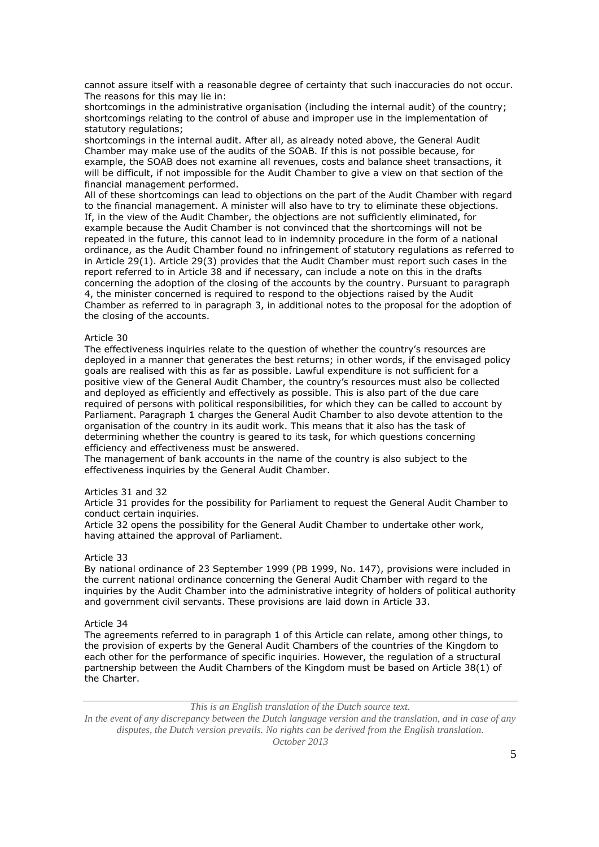cannot assure itself with a reasonable degree of certainty that such inaccuracies do not occur. The reasons for this may lie in:

shortcomings in the administrative organisation (including the internal audit) of the country; shortcomings relating to the control of abuse and improper use in the implementation of statutory regulations;

shortcomings in the internal audit. After all, as already noted above, the General Audit Chamber may make use of the audits of the SOAB. If this is not possible because, for example, the SOAB does not examine all revenues, costs and balance sheet transactions, it will be difficult, if not impossible for the Audit Chamber to give a view on that section of the financial management performed.

All of these shortcomings can lead to objections on the part of the Audit Chamber with regard to the financial management. A minister will also have to try to eliminate these objections. If, in the view of the Audit Chamber, the objections are not sufficiently eliminated, for example because the Audit Chamber is not convinced that the shortcomings will not be repeated in the future, this cannot lead to in indemnity procedure in the form of a national ordinance, as the Audit Chamber found no infringement of statutory regulations as referred to in Article 29(1). Article 29(3) provides that the Audit Chamber must report such cases in the report referred to in Article 38 and if necessary, can include a note on this in the drafts concerning the adoption of the closing of the accounts by the country. Pursuant to paragraph 4, the minister concerned is required to respond to the objections raised by the Audit Chamber as referred to in paragraph 3, in additional notes to the proposal for the adoption of the closing of the accounts.

## Article 30

The effectiveness inquiries relate to the question of whether the country's resources are deployed in a manner that generates the best returns; in other words, if the envisaged policy goals are realised with this as far as possible. Lawful expenditure is not sufficient for a positive view of the General Audit Chamber, the country's resources must also be collected and deployed as efficiently and effectively as possible. This is also part of the due care required of persons with political responsibilities, for which they can be called to account by Parliament. Paragraph 1 charges the General Audit Chamber to also devote attention to the organisation of the country in its audit work. This means that it also has the task of determining whether the country is geared to its task, for which questions concerning efficiency and effectiveness must be answered.

The management of bank accounts in the name of the country is also subject to the effectiveness inquiries by the General Audit Chamber.

## Articles 31 and 32

Article 31 provides for the possibility for Parliament to request the General Audit Chamber to conduct certain inquiries.

Article 32 opens the possibility for the General Audit Chamber to undertake other work, having attained the approval of Parliament.

# Article 33

By national ordinance of 23 September 1999 (PB 1999, No. 147), provisions were included in the current national ordinance concerning the General Audit Chamber with regard to the inquiries by the Audit Chamber into the administrative integrity of holders of political authority and government civil servants. These provisions are laid down in Article 33.

#### Article 34

The agreements referred to in paragraph 1 of this Article can relate, among other things, to the provision of experts by the General Audit Chambers of the countries of the Kingdom to each other for the performance of specific inquiries. However, the regulation of a structural partnership between the Audit Chambers of the Kingdom must be based on Article 38(1) of the Charter.

*This is an English translation of the Dutch source text.*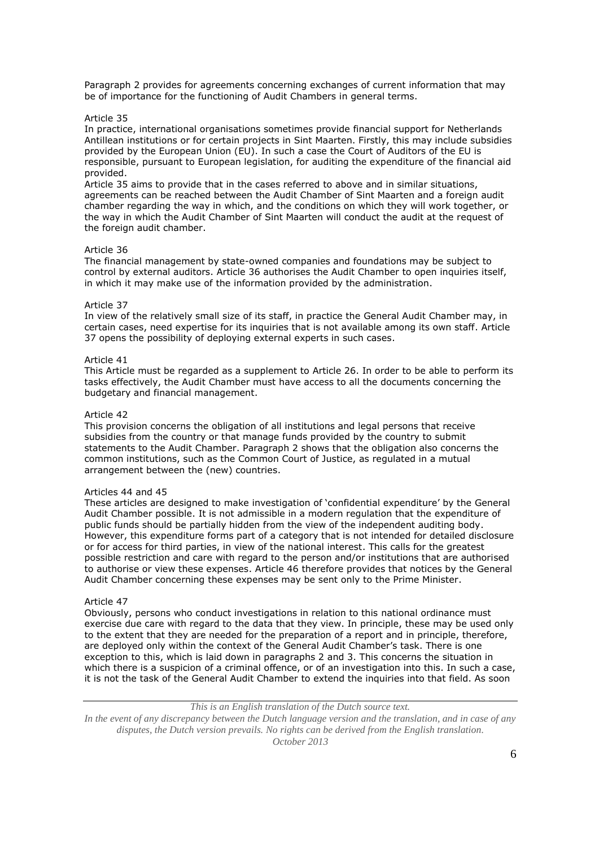Paragraph 2 provides for agreements concerning exchanges of current information that may be of importance for the functioning of Audit Chambers in general terms.

#### Article 35

In practice, international organisations sometimes provide financial support for Netherlands Antillean institutions or for certain projects in Sint Maarten. Firstly, this may include subsidies provided by the European Union (EU). In such a case the Court of Auditors of the EU is responsible, pursuant to European legislation, for auditing the expenditure of the financial aid provided.

Article 35 aims to provide that in the cases referred to above and in similar situations, agreements can be reached between the Audit Chamber of Sint Maarten and a foreign audit chamber regarding the way in which, and the conditions on which they will work together, or the way in which the Audit Chamber of Sint Maarten will conduct the audit at the request of the foreign audit chamber.

#### Article 36

The financial management by state-owned companies and foundations may be subject to control by external auditors. Article 36 authorises the Audit Chamber to open inquiries itself, in which it may make use of the information provided by the administration.

#### Article 37

In view of the relatively small size of its staff, in practice the General Audit Chamber may, in certain cases, need expertise for its inquiries that is not available among its own staff. Article 37 opens the possibility of deploying external experts in such cases.

#### Article 41

This Article must be regarded as a supplement to Article 26. In order to be able to perform its tasks effectively, the Audit Chamber must have access to all the documents concerning the budgetary and financial management.

#### Article 42

This provision concerns the obligation of all institutions and legal persons that receive subsidies from the country or that manage funds provided by the country to submit statements to the Audit Chamber. Paragraph 2 shows that the obligation also concerns the common institutions, such as the Common Court of Justice, as regulated in a mutual arrangement between the (new) countries.

#### Articles 44 and 45

These articles are designed to make investigation of 'confidential expenditure' by the General Audit Chamber possible. It is not admissible in a modern regulation that the expenditure of public funds should be partially hidden from the view of the independent auditing body. However, this expenditure forms part of a category that is not intended for detailed disclosure or for access for third parties, in view of the national interest. This calls for the greatest possible restriction and care with regard to the person and/or institutions that are authorised to authorise or view these expenses. Article 46 therefore provides that notices by the General Audit Chamber concerning these expenses may be sent only to the Prime Minister.

#### Article 47

Obviously, persons who conduct investigations in relation to this national ordinance must exercise due care with regard to the data that they view. In principle, these may be used only to the extent that they are needed for the preparation of a report and in principle, therefore, are deployed only within the context of the General Audit Chamber's task. There is one exception to this, which is laid down in paragraphs 2 and 3. This concerns the situation in which there is a suspicion of a criminal offence, or of an investigation into this. In such a case, it is not the task of the General Audit Chamber to extend the inquiries into that field. As soon

# *This is an English translation of the Dutch source text.*